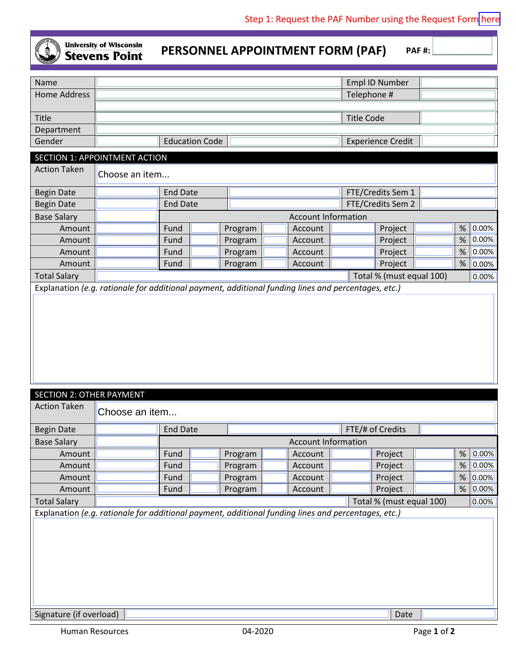

## **University of Wisconsin Stevens Point**

**PERSONNEL APPOINTMENT FORM (PAF)** PAF#:

| Name                          |                       |  | Empl ID Number           |  |  |  |  |
|-------------------------------|-----------------------|--|--------------------------|--|--|--|--|
| Home Address                  |                       |  | Telephone #              |  |  |  |  |
|                               |                       |  |                          |  |  |  |  |
| Title                         |                       |  | <b>Title Code</b>        |  |  |  |  |
| Department                    |                       |  |                          |  |  |  |  |
| Gender                        | <b>Education Code</b> |  | <b>Experience Credit</b> |  |  |  |  |
| SECTION 1: APPOINTMENT ACTION |                       |  |                          |  |  |  |  |

| <b>Action Taken</b>                                                                                 | Choose an item                         |                            |                                      |         |  |         |  |  |                   |   |                       |
|-----------------------------------------------------------------------------------------------------|----------------------------------------|----------------------------|--------------------------------------|---------|--|---------|--|--|-------------------|---|-----------------------|
| <b>Begin Date</b>                                                                                   |                                        | <b>End Date</b>            |                                      |         |  |         |  |  | FTE/Credits Sem 1 |   |                       |
| <b>Begin Date</b>                                                                                   |                                        |                            | FTE/Credits Sem 2<br><b>End Date</b> |         |  |         |  |  |                   |   |                       |
| <b>Base Salary</b>                                                                                  |                                        | <b>Account Information</b> |                                      |         |  |         |  |  |                   |   |                       |
| Amount                                                                                              |                                        | Fund                       |                                      | Program |  | Account |  |  | Project           |   | $% 0.00\%$            |
| Amount                                                                                              |                                        | Fund                       |                                      | Program |  | Account |  |  | Project           | % | $\vert$ 0.00% $\vert$ |
| Amount                                                                                              |                                        | Fund                       |                                      | Program |  | Account |  |  | Project           | % | $\vert 0.00\% \vert$  |
| Amount                                                                                              |                                        | Fund                       |                                      | Program |  | Account |  |  | Project           | % | $ 0.00\% $            |
| <b>Total Salary</b>                                                                                 | Total % (must equal 100)<br>$ 0.00\% $ |                            |                                      |         |  |         |  |  |                   |   |                       |
| Explanation (e.g. rationale for additional payment, additional funding lines and percentages, etc.) |                                        |                            |                                      |         |  |         |  |  |                   |   |                       |

| <b>SECTION 2: OTHER PAYMENT</b>                                                                     |                                     |      |  |         |  |                            |  |                          |  |   |            |
|-----------------------------------------------------------------------------------------------------|-------------------------------------|------|--|---------|--|----------------------------|--|--------------------------|--|---|------------|
| <b>Action Taken</b>                                                                                 | Choose an item                      |      |  |         |  |                            |  |                          |  |   |            |
| <b>Begin Date</b>                                                                                   | <b>End Date</b><br>FTE/# of Credits |      |  |         |  |                            |  |                          |  |   |            |
| <b>Base Salary</b>                                                                                  |                                     |      |  |         |  | <b>Account Information</b> |  |                          |  |   |            |
| Amount                                                                                              |                                     | Fund |  | Program |  | Account                    |  | Project                  |  | % | 0.00%      |
| Amount                                                                                              |                                     | Fund |  | Program |  | Account                    |  | Project                  |  | % | 0.00%      |
| Amount                                                                                              |                                     | Fund |  | Program |  | Account                    |  | Project                  |  |   | $% 0.00\%$ |
| Amount                                                                                              |                                     | Fund |  | Program |  | Account                    |  | Project                  |  | % | 0.00%      |
| <b>Total Salary</b>                                                                                 |                                     |      |  |         |  |                            |  | Total % (must equal 100) |  |   | 0.00%      |
| Explanation (e.g. rationale for additional payment, additional funding lines and percentages, etc.) |                                     |      |  |         |  |                            |  |                          |  |   |            |
|                                                                                                     |                                     |      |  |         |  |                            |  |                          |  |   |            |
|                                                                                                     |                                     |      |  |         |  |                            |  |                          |  |   |            |
|                                                                                                     |                                     |      |  |         |  |                            |  |                          |  |   |            |
|                                                                                                     |                                     |      |  |         |  |                            |  |                          |  |   |            |
|                                                                                                     |                                     |      |  |         |  |                            |  |                          |  |   |            |
|                                                                                                     |                                     |      |  |         |  |                            |  |                          |  |   |            |
|                                                                                                     |                                     |      |  |         |  |                            |  |                          |  |   |            |
|                                                                                                     |                                     |      |  |         |  |                            |  |                          |  |   |            |
| Signature (if overload)                                                                             |                                     |      |  |         |  |                            |  | Date                     |  |   |            |